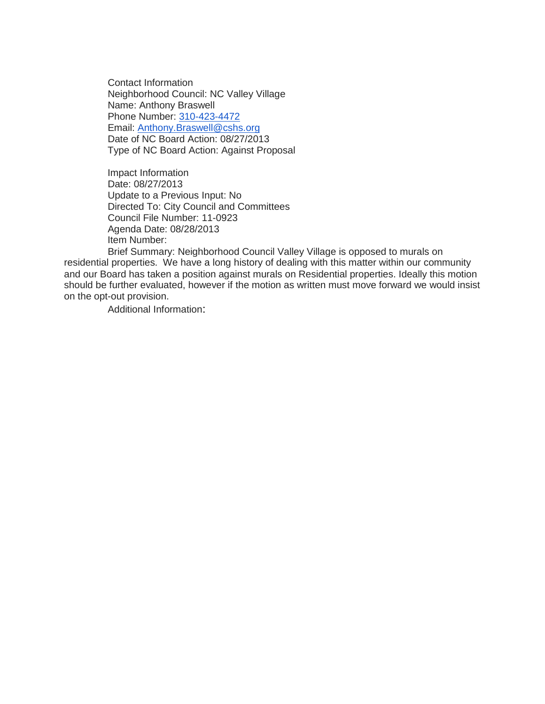Contact Information Neighborhood Council: NC Valley Village Name: Anthony Braswell Phone Number: [310-423-4472](tel:310-423-4472) Email: [Anthony.Braswell@cshs.org](mailto:Anthony.Braswell@cshs.org) Date of NC Board Action: 08/27/2013 Type of NC Board Action: Against Proposal

Impact Information Date: 08/27/2013 Update to a Previous Input: No Directed To: City Council and Committees Council File Number: 11-0923 Agenda Date: 08/28/2013 Item Number:

Brief Summary: Neighborhood Council Valley Village is opposed to murals on residential properties. We have a long history of dealing with this matter within our community and our Board has taken a position against murals on Residential properties. Ideally this motion should be further evaluated, however if the motion as written must move forward we would insist on the opt-out provision.

Additional Information: